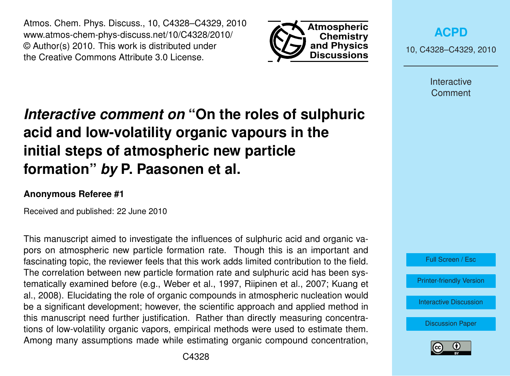Atmos. Chem. Phys. Discuss., 10, C4328–C4329, 2010 www.atmos-chem-phys-discuss.net/10/C4328/2010/ © Author(s) 2010. This work is distributed under the Creative Commons Attribute 3.0 License.



**[ACPD](http://www.atmos-chem-phys-discuss.net)**

10, C4328–C4329, 2010

Interactive **Comment** 

## *Interactive comment on* **"On the roles of sulphuric acid and low-volatility organic vapours in the initial steps of atmospheric new particle formation"** *by* **P. Paasonen et al.**

## **Anonymous Referee #1**

Received and published: 22 June 2010

This manuscript aimed to investigate the influences of sulphuric acid and organic vapors on atmospheric new particle formation rate. Though this is an important and fascinating topic, the reviewer feels that this work adds limited contribution to the field. The correlation between new particle formation rate and sulphuric acid has been systematically examined before (e.g., Weber et al., 1997, Riipinen et al., 2007; Kuang et al., 2008). Elucidating the role of organic compounds in atmospheric nucleation would be a significant development; however, the scientific approach and applied method in this manuscript need further justification. Rather than directly measuring concentrations of low-volatility organic vapors, empirical methods were used to estimate them. Among many assumptions made while estimating organic compound concentration,